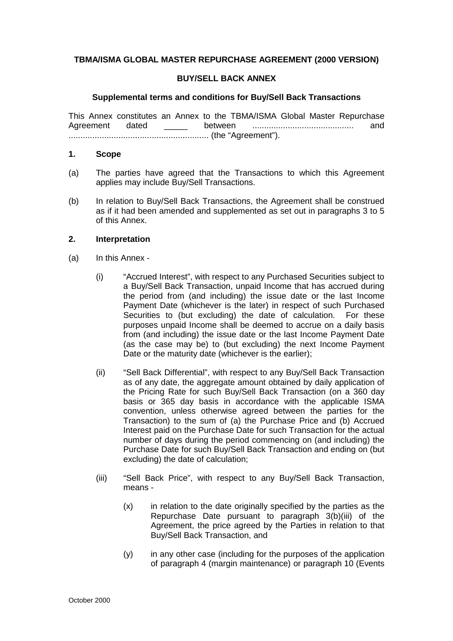# **TBMA/ISMA GLOBAL MASTER REPURCHASE AGREEMENT (2000 VERSION)**

### **BUY/SELL BACK ANNEX**

#### **Supplemental terms and conditions for Buy/Sell Back Transactions**

This Annex constitutes an Annex to the TBMA/ISMA Global Master Repurchase Agreement dated \_\_\_\_\_ between ........................................... and ........................................................... (the "Agreement").

#### **1. Scope**

- (a) The parties have agreed that the Transactions to which this Agreement applies may include Buy/Sell Transactions.
- (b) In relation to Buy/Sell Back Transactions, the Agreement shall be construed as if it had been amended and supplemented as set out in paragraphs 3 to 5 of this Annex.

## **2. Interpretation**

- (a) In this Annex
	- (i) "Accrued Interest", with respect to any Purchased Securities subject to a Buy/Sell Back Transaction, unpaid Income that has accrued during the period from (and including) the issue date or the last Income Payment Date (whichever is the later) in respect of such Purchased Securities to (but excluding) the date of calculation. For these purposes unpaid Income shall be deemed to accrue on a daily basis from (and including) the issue date or the last Income Payment Date (as the case may be) to (but excluding) the next Income Payment Date or the maturity date (whichever is the earlier);
	- (ii) "Sell Back Differential", with respect to any Buy/Sell Back Transaction as of any date, the aggregate amount obtained by daily application of the Pricing Rate for such Buy/Sell Back Transaction (on a 360 day basis or 365 day basis in accordance with the applicable ISMA convention, unless otherwise agreed between the parties for the Transaction) to the sum of (a) the Purchase Price and (b) Accrued Interest paid on the Purchase Date for such Transaction for the actual number of days during the period commencing on (and including) the Purchase Date for such Buy/Sell Back Transaction and ending on (but excluding) the date of calculation;
	- (iii) "Sell Back Price", with respect to any Buy/Sell Back Transaction, means -
		- (x) in relation to the date originally specified by the parties as the Repurchase Date pursuant to paragraph 3(b)(iii) of the Agreement, the price agreed by the Parties in relation to that Buy/Sell Back Transaction, and
		- (y) in any other case (including for the purposes of the application of paragraph 4 (margin maintenance) or paragraph 10 (Events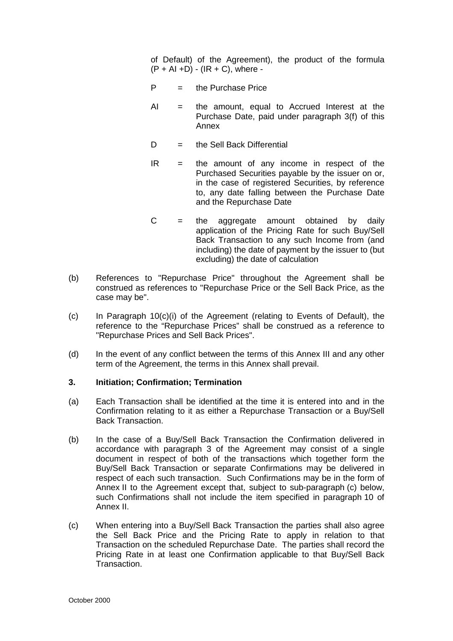of Default) of the Agreement), the product of the formula  $(P + AI + D) - (IR + C)$ , where -

- $P =$  the Purchase Price
- $AI =$  the amount, equal to Accrued Interest at the Purchase Date, paid under paragraph 3(f) of this Annex
- $D =$  the Sell Back Differential
- $IR =$  the amount of any income in respect of the Purchased Securities payable by the issuer on or, in the case of registered Securities, by reference to, any date falling between the Purchase Date and the Repurchase Date
- $C =$  the aggregate amount obtained by daily application of the Pricing Rate for such Buy/Sell Back Transaction to any such Income from (and including) the date of payment by the issuer to (but excluding) the date of calculation
- (b) References to "Repurchase Price" throughout the Agreement shall be construed as references to "Repurchase Price or the Sell Back Price, as the case may be".
- (c) In Paragraph 10(c)(i) of the Agreement (relating to Events of Default), the reference to the "Repurchase Prices" shall be construed as a reference to "Repurchase Prices and Sell Back Prices".
- (d) In the event of any conflict between the terms of this Annex III and any other term of the Agreement, the terms in this Annex shall prevail.

#### **3. Initiation; Confirmation; Termination**

- (a) Each Transaction shall be identified at the time it is entered into and in the Confirmation relating to it as either a Repurchase Transaction or a Buy/Sell Back Transaction.
- (b) In the case of a Buy/Sell Back Transaction the Confirmation delivered in accordance with paragraph 3 of the Agreement may consist of a single document in respect of both of the transactions which together form the Buy/Sell Back Transaction or separate Confirmations may be delivered in respect of each such transaction. Such Confirmations may be in the form of Annex II to the Agreement except that, subject to sub-paragraph (c) below, such Confirmations shall not include the item specified in paragraph 10 of Annex II.
- (c) When entering into a Buy/Sell Back Transaction the parties shall also agree the Sell Back Price and the Pricing Rate to apply in relation to that Transaction on the scheduled Repurchase Date. The parties shall record the Pricing Rate in at least one Confirmation applicable to that Buy/Sell Back **Transaction**